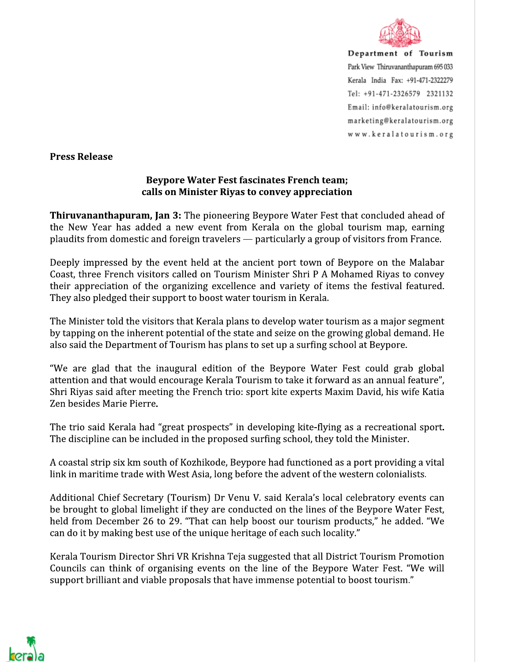

Department of Tourism Park View Thiruvananthapuram 695 033 Kerala India Fax: +91-471-2322279 Tel: +91-471-2326579 2321132 Email: info@keralatourism.org marketing@keralatourism.org www.keralatourism.org

**Press Release** 

## **Beypore Water Fest fascinates French team;** calls on Minister Riyas to convey appreciation

**Thiruvananthapuram, Jan 3:** The pioneering Beypore Water Fest that concluded ahead of the New Year has added a new event from Kerala on the global tourism map, earning plaudits from domestic and foreign travelers — particularly a group of visitors from France.

Deeply impressed by the event held at the ancient port town of Beypore on the Malabar Coast, three French visitors called on Tourism Minister Shri P A Mohamed Riyas to convey their appreciation of the organizing excellence and variety of items the festival featured. They also pledged their support to boost water tourism in Kerala.

The Minister told the visitors that Kerala plans to develop water tourism as a major segment by tapping on the inherent potential of the state and seize on the growing global demand. He also said the Department of Tourism has plans to set up a surfing school at Beypore.

"We are glad that the inaugural edition of the Beypore Water Fest could grab global attention and that would encourage Kerala Tourism to take it forward as an annual feature", Shri Riyas said after meeting the French trio: sport kite experts Maxim David, his wife Katia Zen besides Marie Pierre.

The trio said Kerala had "great prospects" in developing kite-flying as a recreational sport. The discipline can be included in the proposed surfing school, they told the Minister.

A coastal strip six km south of Kozhikode, Beypore had functioned as a port providing a vital link in maritime trade with West Asia, long before the advent of the western colonialists.

Additional Chief Secretary (Tourism) Dr Venu V. said Kerala's local celebratory events can be brought to global limelight if they are conducted on the lines of the Beypore Water Fest, held from December 26 to 29. "That can help boost our tourism products," he added. "We can do it by making best use of the unique heritage of each such locality."

Kerala Tourism Director Shri VR Krishna Teja suggested that all District Tourism Promotion Councils can think of organising events on the line of the Beypore Water Fest. "We will support brilliant and viable proposals that have immense potential to boost tourism."